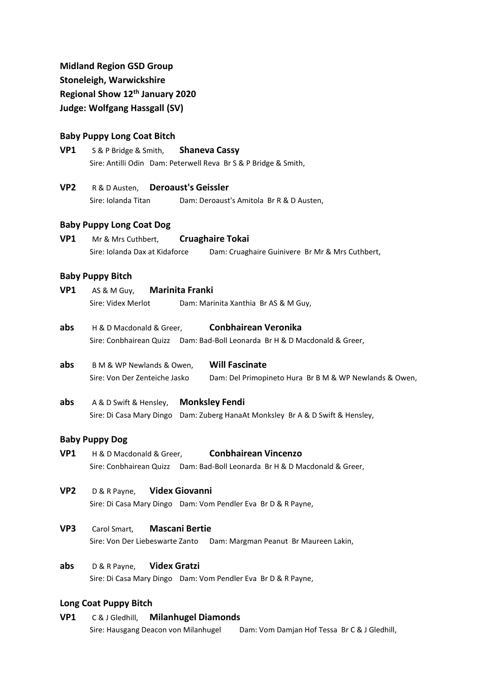# **Midland Region GSD Group Stoneleigh, Warwickshire**

**Regional Show 12th January 2020**

**Judge: Wolfgang Hassgall (SV)**

# **Baby Puppy Long Coat Bitch**

- **VP1** S & P Bridge & Smith, **Shaneva Cassy** Sire: Antilli Odin Dam: Peterwell Reva Br S & P Bridge & Smith,
- **VP2** R & D Austen, **Deroaust's Geissler** Sire: Iolanda Titan Dam: Deroaust's Amitola Br R & D Austen,

## **Baby Puppy Long Coat Dog**

**VP1** Mr & Mrs Cuthbert, **Cruaghaire Tokai** Sire: Iolanda Dax at Kidaforce Dam: Cruaghaire Guinivere Br Mr & Mrs Cuthbert,

### **Baby Puppy Bitch**

- **VP1** AS & M Guy, **Marinita Franki** Sire: Videx Merlot Dam: Marinita Xanthia Br AS & M Guy,
- **abs** H & D Macdonald & Greer, **Conbhairean Veronika** Sire: Conbhairean Quizz Dam: Bad-Boll Leonarda Br H & D Macdonald & Greer,
- **abs** B M & WP Newlands & Owen, **Will Fascinate** Sire: Von Der Zenteiche Jasko Dam: Del Primopineto Hura Br B M & WP Newlands & Owen,
- **abs** A & D Swift & Hensley, **Monksley Fendi** Sire: Di Casa Mary Dingo Dam: Zuberg HanaAt Monksley Br A & D Swift & Hensley,

### **Baby Puppy Dog**

- **VP1** H & D Macdonald & Greer, **Conbhairean Vincenzo** Sire: Conbhairean Quizz Dam: Bad-Boll Leonarda Br H & D Macdonald & Greer,
- **VP2** D & R Payne, **Videx Giovanni** Sire: Di Casa Mary Dingo Dam: Vom Pendler Eva Br D & R Payne,
- **VP3** Carol Smart, **Mascani Bertie** Sire: Von Der Liebeswarte Zanto Dam: Margman Peanut Br Maureen Lakin,
- **abs** D & R Payne, **Videx Gratzi** Sire: Di Casa Mary Dingo Dam: Vom Pendler Eva Br D & R Payne,

### **Long Coat Puppy Bitch**

**VP1** C & J Gledhill, **Milanhugel Diamonds** Sire: Hausgang Deacon von Milanhugel Dam: Vom Damjan Hof Tessa Br C & J Gledhill,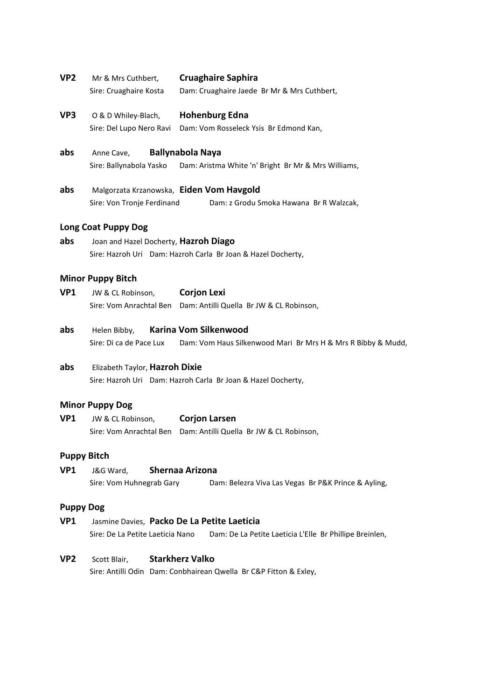- **VP2** Mr & Mrs Cuthbert, **Cruaghaire Saphira** Sire: Cruaghaire Kosta Dam: Cruaghaire Jaede Br Mr & Mrs Cuthbert,
- **VP3** O & D Whiley-Blach, **Hohenburg Edna** Sire: Del Lupo Nero Ravi Dam: Vom Rosseleck Ysis Br Edmond Kan,
- **abs** Anne Cave, **Ballynabola Naya** Sire: Ballynabola Yasko Dam: Aristma White 'n' Bright Br Mr & Mrs Williams,
- **abs** Malgorzata Krzanowska, **Eiden Vom Havgold** Sire: Von Tronje Ferdinand Dam: z Grodu Smoka Hawana Br R Walzcak,

#### **Long Coat Puppy Dog**

**abs** Joan and Hazel Docherty, **Hazroh Diago** Sire: Hazroh Uri Dam: Hazroh Carla Br Joan & Hazel Docherty,

### **Minor Puppy Bitch**

| VP1 | JW & CL Robinson, | <b>Corjon Lexi</b>                                               |  |
|-----|-------------------|------------------------------------------------------------------|--|
|     |                   | Sire: Vom Anrachtal Ben Dam: Antilli Quella Br JW & CL Robinson, |  |

**abs** Helen Bibby, **Karina Vom Silkenwood** Sire: Di ca de Pace Lux Dam: Vom Haus Silkenwood Mari Br Mrs H & Mrs R Bibby & Mudd,

# **abs** Elizabeth Taylor, **Hazroh Dixie** Sire: Hazroh Uri Dam: Hazroh Carla Br Joan & Hazel Docherty,

#### **Minor Puppy Dog**

**VP1** JW & CL Robinson, **Corjon Larsen** Sire: Vom Anrachtal Ben Dam: Antilli Quella Br JW & CL Robinson,

#### **Puppy Bitch**

**VP1** J&G Ward, **Shernaa Arizona** Sire: Vom Huhnegrab Gary Dam: Belezra Viva Las Vegas Br P&K Prince & Ayling,

#### **Puppy Dog**

- **VP1** Jasmine Davies, **Packo De La Petite Laeticia** Sire: De La Petite Laeticia Nano Dam: De La Petite Laeticia L'Elle Br Phillipe Breinlen,
- **VP2** Scott Blair, **Starkherz Valko** Sire: Antilli Odin Dam: Conbhairean Qwella Br C&P Fitton & Exley,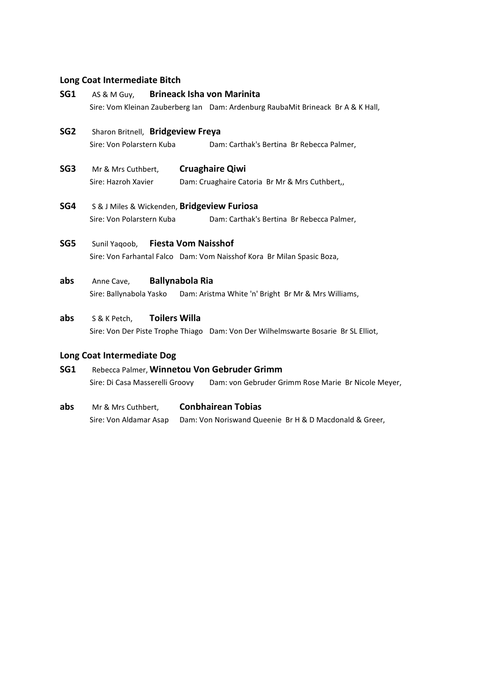# **Long Coat Intermediate Bitch**

| SG1             | <b>Brineack Isha von Marinita</b><br>AS & M Guy,                                                                           |
|-----------------|----------------------------------------------------------------------------------------------------------------------------|
|                 | Sire: Vom Kleinan Zauberberg Ian Dam: Ardenburg RaubaMit Brineack Br A & K Hall,                                           |
| SG <sub>2</sub> | Sharon Britnell, Bridgeview Freya<br>Sire: Von Polarstern Kuba<br>Dam: Carthak's Bertina Br Rebecca Palmer,                |
| SG3             | <b>Cruaghaire Qiwi</b><br>Mr & Mrs Cuthbert,<br>Sire: Hazroh Xavier<br>Dam: Cruaghaire Catoria Br Mr & Mrs Cuthbert,       |
| SG4             | S & J Miles & Wickenden, Bridgeview Furiosa<br>Sire: Von Polarstern Kuba<br>Dam: Carthak's Bertina Br Rebecca Palmer,      |
| SG5             | <b>Fiesta Vom Naisshof</b><br>Sunil Yagoob,<br>Sire: Von Farhantal Falco Dam: Vom Naisshof Kora Br Milan Spasic Boza,      |
| abs             | <b>Ballynabola Ria</b><br>Anne Cave,<br>Sire: Ballynabola Yasko Dam: Aristma White 'n' Bright Br Mr & Mrs Williams,        |
| abs             | <b>Toilers Willa</b><br>S & K Petch,<br>Sire: Von Der Piste Trophe Thiago Dam: Von Der Wilhelmswarte Bosarie Br SL Elliot, |
|                 | Long Coat Intermediate Dog                                                                                                 |
| SG1             | Rebecca Palmer, Winnetou Von Gebruder Grimm                                                                                |
|                 | Dam: von Gebruder Grimm Rose Marie Br Nicole Meyer,<br>Sire: Di Casa Masserelli Groovy                                     |

**abs** Mr & Mrs Cuthbert, **Conbhairean Tobias** Sire: Von Aldamar Asap Dam: Von Noriswand Queenie Br H & D Macdonald & Greer,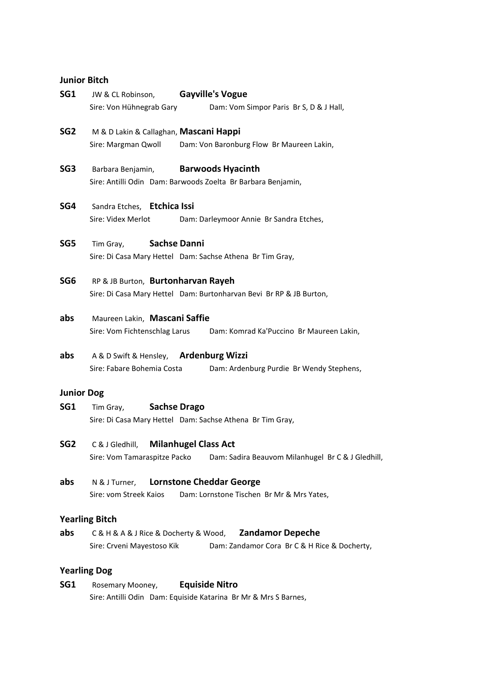## **Junior Bitch**

| SG1               | <b>Gayville's Vogue</b><br>JW & CL Robinson,                                      |
|-------------------|-----------------------------------------------------------------------------------|
|                   | Sire: Von Hühnegrab Gary<br>Dam: Vom Simpor Paris Br S, D & J Hall,               |
| SG <sub>2</sub>   | M & D Lakin & Callaghan, Mascani Happi                                            |
|                   | Dam: Von Baronburg Flow Br Maureen Lakin,<br>Sire: Margman Qwoll                  |
| SG <sub>3</sub>   | <b>Barwoods Hyacinth</b><br>Barbara Benjamin,                                     |
|                   | Sire: Antilli Odin Dam: Barwoods Zoelta Br Barbara Benjamin,                      |
| SG4               | Sandra Etches, Etchica Issi                                                       |
|                   | Sire: Videx Merlot<br>Dam: Darleymoor Annie Br Sandra Etches,                     |
| SG5               | <b>Sachse Danni</b><br>Tim Gray,                                                  |
|                   | Sire: Di Casa Mary Hettel Dam: Sachse Athena Br Tim Gray,                         |
| SG6               | RP & JB Burton, Burtonharvan Rayeh                                                |
|                   | Sire: Di Casa Mary Hettel Dam: Burtonharvan Bevi Br RP & JB Burton,               |
| abs               | Maureen Lakin, Mascani Saffie                                                     |
|                   | Sire: Vom Fichtenschlag Larus<br>Dam: Komrad Ka'Puccino Br Maureen Lakin,         |
| abs               | A & D Swift & Hensley, Ardenburg Wizzi                                            |
|                   | Sire: Fabare Bohemia Costa<br>Dam: Ardenburg Purdie Br Wendy Stephens,            |
| <b>Junior Dog</b> |                                                                                   |
| SG1               | <b>Sachse Drago</b><br>Tim Gray,                                                  |
|                   | Sire: Di Casa Mary Hettel Dam: Sachse Athena Br Tim Gray,                         |
| SG2               | <b>Milanhugel Class Act</b><br>C & J Gledhill,                                    |
|                   | Sire: Vom Tamaraspitze Packo<br>Dam: Sadira Beauvom Milanhugel Br C & J Gledhill, |
| abs               | N & J Turner, Lornstone Cheddar George                                            |
|                   | Sire: vom Streek Kaios<br>Dam: Lornstone Tischen Br Mr & Mrs Yates,               |
|                   | <b>Yearling Bitch</b>                                                             |
| abs               | <b>Zandamor Depeche</b><br>C & H & A & J Rice & Docherty & Wood,                  |
|                   | Sire: Crveni Mayestoso Kik Dam: Zandamor Cora Br C & H Rice & Docherty,           |
|                   | <b>Yearling Dog</b>                                                               |

# **SG1** Rosemary Mooney, **Equiside Nitro** Sire: Antilli Odin Dam: Equiside Katarina Br Mr & Mrs S Barnes,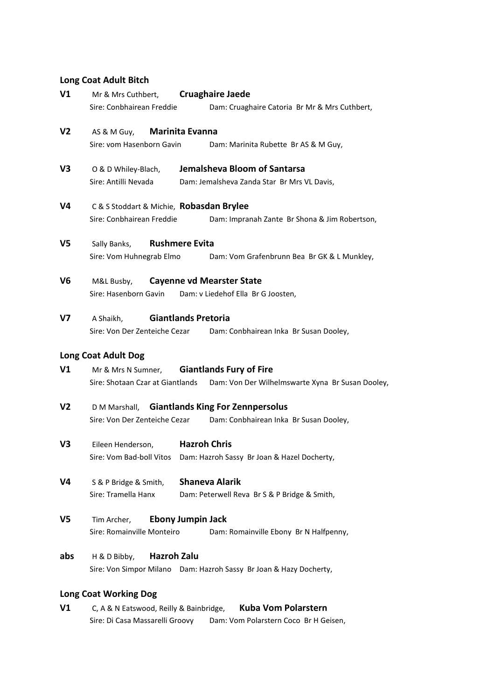# **Long Coat Adult Bitch**

| V <sub>1</sub> | Mr & Mrs Cuthbert,                       | <b>Cruaghaire Jaede</b>                                            |  |
|----------------|------------------------------------------|--------------------------------------------------------------------|--|
|                | Sire: Conbhairean Freddie                | Dam: Cruaghaire Catoria Br Mr & Mrs Cuthbert,                      |  |
| V2             | AS & M Guy,                              | Marinita Evanna                                                    |  |
|                | Sire: vom Hasenborn Gavin                | Dam: Marinita Rubette Br AS & M Guy,                               |  |
| V <sub>3</sub> | O & D Whiley-Blach,                      | Jemalsheva Bloom of Santarsa                                       |  |
|                | Sire: Antilli Nevada                     | Dam: Jemalsheva Zanda Star Br Mrs VL Davis,                        |  |
| V4             | C & S Stoddart & Michie, Robasdan Brylee |                                                                    |  |
|                | Sire: Conbhairean Freddie                | Dam: Impranah Zante Br Shona & Jim Robertson,                      |  |
| V5             | Sally Banks,                             | <b>Rushmere Evita</b>                                              |  |
|                | Sire: Vom Huhnegrab Elmo                 | Dam: Vom Grafenbrunn Bea Br GK & L Munkley,                        |  |
| V6             | M&L Busby,                               | <b>Cayenne vd Mearster State</b>                                   |  |
|                | Sire: Hasenborn Gavin                    | Dam: v Liedehof Ella Br G Joosten,                                 |  |
| V7             | A Shaikh,                                | <b>Giantlands Pretoria</b>                                         |  |
|                | Sire: Von Der Zenteiche Cezar            | Dam: Conbhairean Inka Br Susan Dooley,                             |  |
|                | <b>Long Coat Adult Dog</b>               |                                                                    |  |
| V1             | Mr & Mrs N Sumner,                       | <b>Giantlands Fury of Fire</b>                                     |  |
|                | Sire: Shotaan Czar at Giantlands         | Dam: Von Der Wilhelmswarte Xyna Br Susan Dooley,                   |  |
| V2             |                                          | D M Marshall, Giantlands King For Zennpersolus                     |  |
|                | Sire: Von Der Zenteiche Cezar            | Dam: Conbhairean Inka Br Susan Dooley,                             |  |
| V3             | Eileen Henderson,                        | <b>Hazroh Chris</b>                                                |  |
|                | Sire: Vom Bad-boll Vitos                 | Dam: Hazroh Sassy Br Joan & Hazel Docherty,                        |  |
| V4             | S & P Bridge & Smith,                    | <b>Shaneva Alarik</b>                                              |  |
|                | Sire: Tramella Hanx                      | Dam: Peterwell Reva Br S & P Bridge & Smith,                       |  |
| V5             | Tim Archer.                              | <b>Ebony Jumpin Jack</b>                                           |  |
|                | Sire: Romainville Monteiro               | Dam: Romainville Ebony Br N Halfpenny,                             |  |
| abs            | <b>Hazroh Zalu</b><br>H & D Bibby,       |                                                                    |  |
|                |                                          | Sire: Von Simpor Milano Dam: Hazroh Sassy Br Joan & Hazy Docherty, |  |

# **Long Coat Working Dog**

**V1** C, A & N Eatswood, Reilly & Bainbridge, **Kuba Vom Polarstern** Sire: Di Casa Massarelli Groovy Dam: Vom Polarstern Coco Br H Geisen,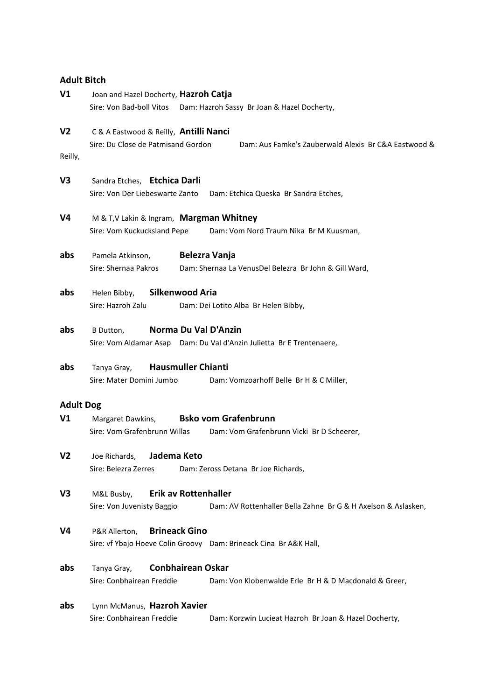# **Adult Bitch**

| V <sub>1</sub>            | Joan and Hazel Docherty, Hazroh Catja<br>Sire: Von Bad-boll Vitos<br>Dam: Hazroh Sassy Br Joan & Hazel Docherty, |                                                                                               |  |
|---------------------------|------------------------------------------------------------------------------------------------------------------|-----------------------------------------------------------------------------------------------|--|
| V <sub>2</sub><br>Reilly, | C & A Eastwood & Reilly, Antilli Nanci<br>Sire: Du Close de Patmisand Gordon                                     | Dam: Aus Famke's Zauberwald Alexis Br C&A Eastwood &                                          |  |
| V3                        | Sandra Etches, Etchica Darli<br>Sire: Von Der Liebeswarte Zanto                                                  | Dam: Etchica Queska Br Sandra Etches,                                                         |  |
| V4                        | M & T, V Lakin & Ingram, Margman Whitney<br>Sire: Vom Kuckucksland Pepe                                          | Dam: Vom Nord Traum Nika Br M Kuusman,                                                        |  |
| abs                       | Pamela Atkinson,<br>Sire: Shernaa Pakros                                                                         | <b>Belezra Vanja</b><br>Dam: Shernaa La VenusDel Belezra Br John & Gill Ward,                 |  |
| abs                       | Helen Bibby,<br>Sire: Hazroh Zalu                                                                                | Silkenwood Aria<br>Dam: Dei Lotito Alba Br Helen Bibby,                                       |  |
| abs                       | B Dutton,                                                                                                        | Norma Du Val D'Anzin<br>Sire: Vom Aldamar Asap Dam: Du Val d'Anzin Julietta Br E Trentenaere, |  |
| abs                       | Tanya Gray,<br>Sire: Mater Domini Jumbo                                                                          | <b>Hausmuller Chianti</b><br>Dam: Vomzoarhoff Belle Br H & C Miller,                          |  |
| <b>Adult Dog</b>          |                                                                                                                  |                                                                                               |  |
| V1                        | Margaret Dawkins,<br>Sire: Vom Grafenbrunn Willas                                                                | <b>Bsko vom Grafenbrunn</b><br>Dam: Vom Grafenbrunn Vicki Br D Scheerer,                      |  |
| V <sub>2</sub>            | Jadema Keto<br>Joe Richards,<br>Sire: Belezra Zerres                                                             | Dam: Zeross Detana Br Joe Richards,                                                           |  |
| V <sub>3</sub>            | M&L Busby,<br>Sire: Von Juvenisty Baggio                                                                         | <b>Erik av Rottenhaller</b><br>Dam: AV Rottenhaller Bella Zahne Br G & H Axelson & Aslasken,  |  |
| V4                        | P&R Allerton,                                                                                                    | <b>Brineack Gino</b><br>Sire: vf Ybajo Hoeve Colin Groovy Dam: Brineack Cina Br A&K Hall,     |  |
| abs                       | Tanya Gray,<br>Sire: Conbhairean Freddie                                                                         | <b>Conbhairean Oskar</b><br>Dam: Von Klobenwalde Erle Br H & D Macdonald & Greer,             |  |
| abs                       | Lynn McManus, Hazroh Xavier<br>Sire: Conbhairean Freddie                                                         | Dam: Korzwin Lucieat Hazroh Br Joan & Hazel Docherty,                                         |  |